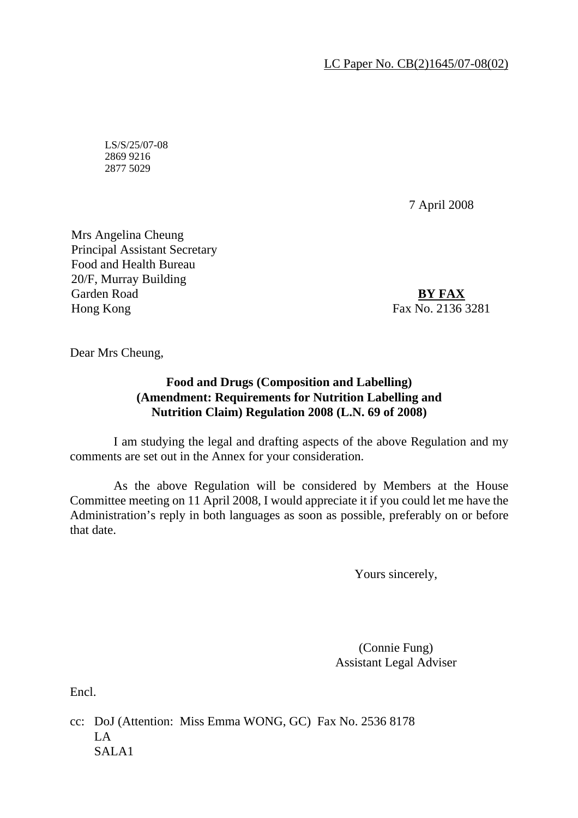LC Paper No. CB(2)1645/07-08(02)

LS/S/25/07-08 2869 9216 2877 5029

7 April 2008

Mrs Angelina Cheung Principal Assistant Secretary Food and Health Bureau 20/F, Murray Building Garden Road Hong Kong

**BY FAX**  Fax No. 2136 3281

Dear Mrs Cheung,

## **Food and Drugs (Composition and Labelling) (Amendment: Requirements for Nutrition Labelling and Nutrition Claim) Regulation 2008 (L.N. 69 of 2008)**

 I am studying the legal and drafting aspects of the above Regulation and my comments are set out in the Annex for your consideration.

 As the above Regulation will be considered by Members at the House Committee meeting on 11 April 2008, I would appreciate it if you could let me have the Administration's reply in both languages as soon as possible, preferably on or before that date.

Yours sincerely,

(Connie Fung) Assistant Legal Adviser

Encl.

cc: DoJ (Attention: Miss Emma WONG, GC) Fax No. 2536 8178 LA SALA1